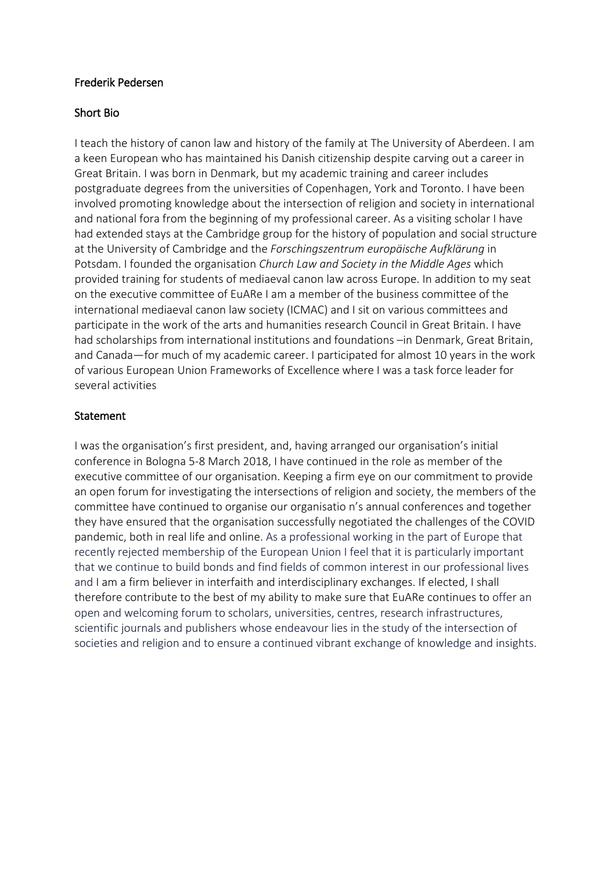## Frederik Pedersen

## Short Bio

I teach the history of canon law and history of the family at The University of Aberdeen. I am a keen European who has maintained his Danish citizenship despite carving out a career in Great Britain. I was born in Denmark, but my academic training and career includes postgraduate degrees from the universities of Copenhagen, York and Toronto. I have been involved promoting knowledge about the intersection of religion and society in international and national fora from the beginning of my professional career. As a visiting scholar I have had extended stays at the Cambridge group for the history of population and social structure at the University of Cambridge and the *Forschingszentrum europäische Aufklärung* in Potsdam. I founded the organisation *Church Law and Society in the Middle Ages* which provided training for students of mediaeval canon law across Europe. In addition to my seat on the executive committee of EuARe I am a member of the business committee of the international mediaeval canon law society (ICMAC) and I sit on various committees and participate in the work of the arts and humanities research Council in Great Britain. I have had scholarships from international institutions and foundations –in Denmark, Great Britain, and Canada—for much of my academic career. I participated for almost 10 years in the work of various European Union Frameworks of Excellence where I was a task force leader for several activities

# Statement

I was the organisation's first president, and, having arranged our organisation's initial conference in Bologna 5-8 March 2018, I have continued in the role as member of the executive committee of our organisation. Keeping a firm eye on our commitment to provide an open forum for investigating the intersections of religion and society, the members of the committee have continued to organise our organisatio n's annual conferences and together they have ensured that the organisation successfully negotiated the challenges of the COVID pandemic, both in real life and online. As a professional working in the part of Europe that recently rejected membership of the European Union I feel that it is particularly important that we continue to build bonds and find fields of common interest in our professional lives and I am a firm believer in interfaith and interdisciplinary exchanges. If elected, I shall therefore contribute to the best of my ability to make sure that EuARe continues to offer an open and welcoming forum to scholars, universities, centres, research infrastructures, scientific journals and publishers whose endeavour lies in the study of the intersection of societies and religion and to ensure a continued vibrant exchange of knowledge and insights.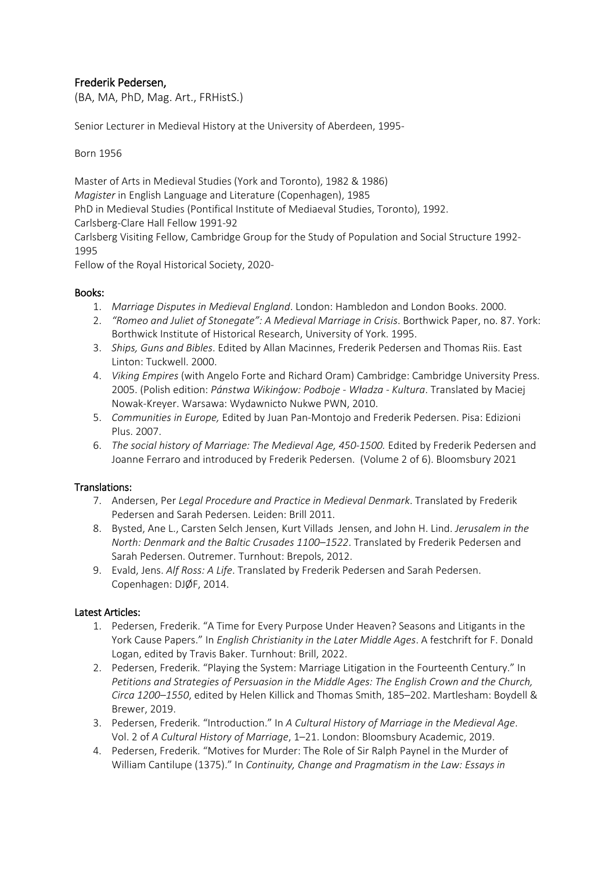# Frederik Pedersen,

(BA, MA, PhD, Mag. Art., FRHistS.)

Senior Lecturer in Medieval History at the University of Aberdeen, 1995-

Born 1956

Master of Arts in Medieval Studies (York and Toronto), 1982 & 1986) *Magister* in English Language and Literature (Copenhagen), 1985 PhD in Medieval Studies (Pontifical Institute of Mediaeval Studies, Toronto), 1992. Carlsberg-Clare Hall Fellow 1991-92 Carlsberg Visiting Fellow, Cambridge Group for the Study of Population and Social Structure 1992-

1995

Fellow of the Royal Historical Society, 2020-

### Books:

- 1. *Marriage Disputes in Medieval England*. London: Hambledon and London Books. 2000.
- 2. *"Romeo and Juliet of Stonegate": A Medieval Marriage in Crisis*. Borthwick Paper, no. 87. York: Borthwick Institute of Historical Research, University of York. 1995.
- 3. *Ships, Guns and Bibles*. Edited by Allan Macinnes, Frederik Pedersen and Thomas Riis. East Linton: Tuckwell. 2000.
- 4. *Viking Empires* (with Angelo Forte and Richard Oram) Cambridge: Cambridge University Press. 2005. (Polish edition: *Pánstwa Wikinǵow: Podboje - Władza - Kultura*. Translated by Maciej Nowak-Kreyer. Warsawa: Wydawnicto Nukwe PWN, 2010.
- 5. *Communities in Europe,* Edited by Juan Pan-Montojo and Frederik Pedersen. Pisa: Edizioni Plus. 2007.
- 6. *The social history of Marriage: The Medieval Age, 450-1500.* Edited by Frederik Pedersen and Joanne Ferraro and introduced by Frederik Pedersen. (Volume 2 of 6). Bloomsbury 2021

### Translations:

- 7. Andersen, Per *Legal Procedure and Practice in Medieval Denmark*. Translated by Frederik Pedersen and Sarah Pedersen. Leiden: Brill 2011.
- 8. Bysted, Ane L., Carsten Selch Jensen, Kurt Villads Jensen, and John H. Lind. *Jerusalem in the North: Denmark and the Baltic Crusades 1100–1522*. Translated by Frederik Pedersen and Sarah Pedersen. Outremer. Turnhout: Brepols, 2012.
- 9. Evald, Jens. *Alf Ross: A Life*. Translated by Frederik Pedersen and Sarah Pedersen. Copenhagen: DJØF, 2014.

### Latest Articles:

- 1. Pedersen, Frederik. "A Time for Every Purpose Under Heaven? Seasons and Litigants in the York Cause Papers." In *English Christianity in the Later Middle Ages*. A festchrift for F. Donald Logan, edited by Travis Baker. Turnhout: Brill, 2022.
- 2. Pedersen, Frederik. "Playing the System: Marriage Litigation in the Fourteenth Century." In *Petitions and Strategies of Persuasion in the Middle Ages: The English Crown and the Church, Circa 1200–1550*, edited by Helen Killick and Thomas Smith, 185–202. Martlesham: Boydell & Brewer, 2019.
- 3. Pedersen, Frederik. "Introduction." In *A Cultural History of Marriage in the Medieval Age*. Vol. 2 of *A Cultural History of Marriage*, 1–21. London: Bloomsbury Academic, 2019.
- 4. Pedersen, Frederik. "Motives for Murder: The Role of Sir Ralph Paynel in the Murder of William Cantilupe (1375)." In *Continuity, Change and Pragmatism in the Law: Essays in*